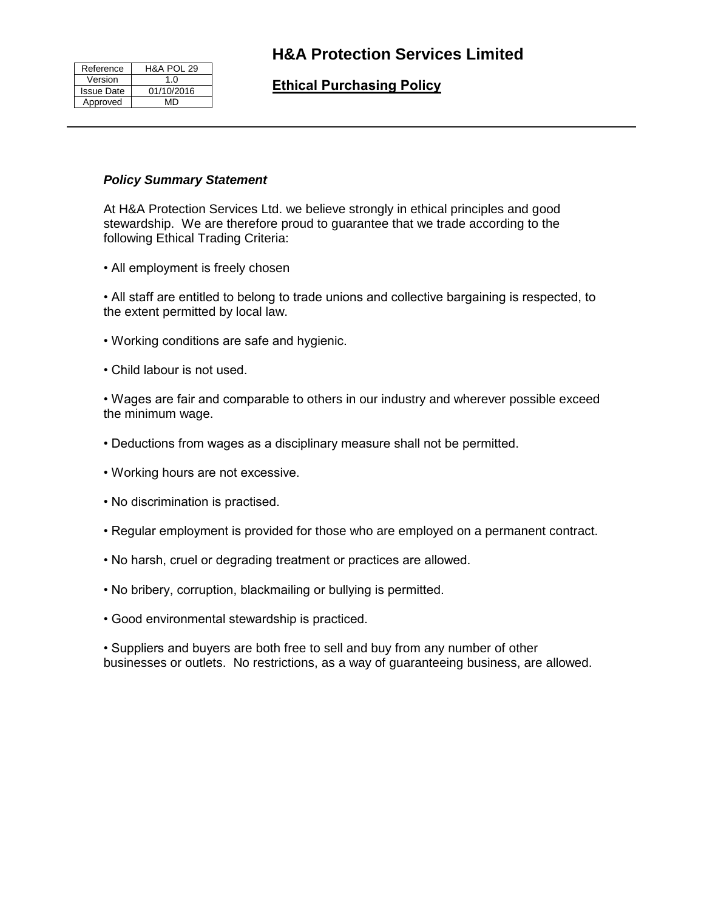| Reference         | <b>H&amp;A POL 29</b> |
|-------------------|-----------------------|
| Version           | 1.0                   |
| <b>Issue Date</b> | 01/10/2016            |
| Approved          | MD                    |

# **H&A Protection Services Limited**

# **Ethical Purchasing Policy**

#### *Policy Summary Statement*

At H&A Protection Services Ltd. we believe strongly in ethical principles and good stewardship. We are therefore proud to guarantee that we trade according to the following Ethical Trading Criteria:

• All employment is freely chosen

• All staff are entitled to belong to trade unions and collective bargaining is respected, to the extent permitted by local law.

- Working conditions are safe and hygienic.
- Child labour is not used.

• Wages are fair and comparable to others in our industry and wherever possible exceed the minimum wage.

- Deductions from wages as a disciplinary measure shall not be permitted.
- Working hours are not excessive.
- No discrimination is practised.
- Regular employment is provided for those who are employed on a permanent contract.
- No harsh, cruel or degrading treatment or practices are allowed.
- No bribery, corruption, blackmailing or bullying is permitted.
- Good environmental stewardship is practiced.

• Suppliers and buyers are both free to sell and buy from any number of other businesses or outlets. No restrictions, as a way of guaranteeing business, are allowed.